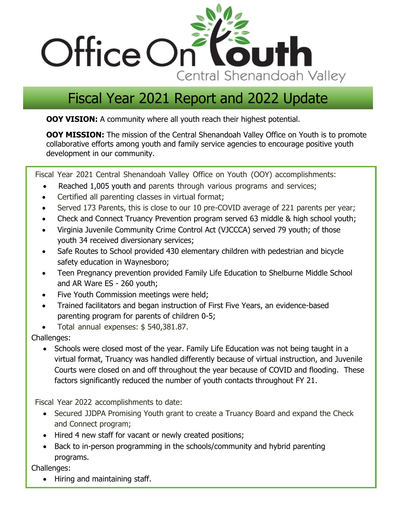

# Fiscal Year 2021 Report and 2022 Update

**OOY VISION:** A community where all youth reach their highest potential.

**OOY MISSION:** The mission of the Central Shenandoah Valley Office on Youth is to promote collaborative efforts among youth and family service agencies to encourage positive youth development in our community.

Fiscal Year 2021 Central Shenandoah Valley Office on Youth (OOY) accomplishments:

- Reached 1,005 youth and parents through various programs and services;
- Certified all parenting classes in virtual format;
- Served 173 Parents, this is close to our 10 pre-COVID average of 221 parents per year;
- Check and Connect Truancy Prevention program served 63 middle & high school youth;
- Virginia Juvenile Community Crime Control Act (VJCCCA) served 79 youth; of those youth 34 received diversionary services;
- Safe Routes to School provided 430 elementary children with pedestrian and bicycle safety education in Waynesboro;
- Teen Pregnancy prevention provided Family Life Education to Shelburne Middle School and AR Ware ES - 260 youth;
- Five Youth Commission meetings were held;
- Trained facilitators and began instruction of First Five Years, an evidence-based parenting program for parents of children 0-5;
- Total annual expenses: \$ 540,381.87.

Challenges:

• Schools were closed most of the year. Family Life Education was not being taught in a virtual format, Truancy was handled differently because of virtual instruction, and Juvenile Courts were closed on and off throughout the year because of COVID and flooding. These factors significantly reduced the number of youth contacts throughout FY 21.

Fiscal Year 2022 accomplishments to date:

- Secured JJDPA Promising Youth grant to create a Truancy Board and expand the Check and Connect program;
- Hired 4 new staff for vacant or newly created positions;
- Back to in-person programming in the schools/community and hybrid parenting programs.

Challenges:

• Hiring and maintaining staff.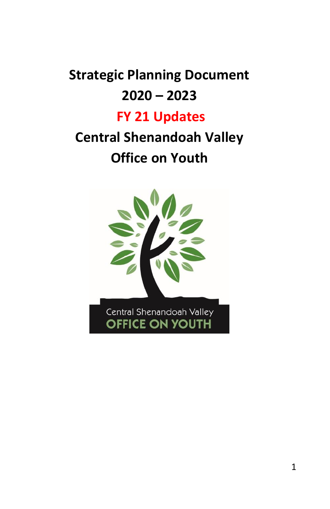# **Strategic Planning Document 2020 – 2023**

# **FY 21 Updates**

# **Central Shenandoah Valley Office on Youth**

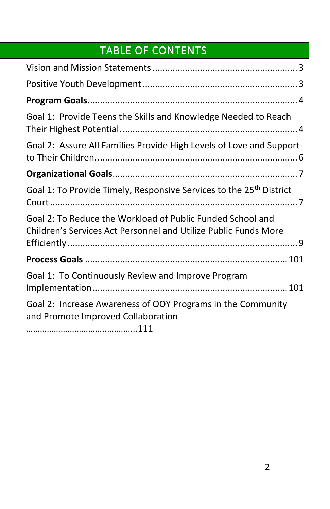# TABLE OF CONTENTS

| Goal 1: Provide Teens the Skills and Knowledge Needed to Reach                                                                |
|-------------------------------------------------------------------------------------------------------------------------------|
| Goal 2: Assure All Families Provide High Levels of Love and Support                                                           |
|                                                                                                                               |
| Goal 1: To Provide Timely, Responsive Services to the 25 <sup>th</sup> District                                               |
| Goal 2: To Reduce the Workload of Public Funded School and<br>Children's Services Act Personnel and Utilize Public Funds More |
|                                                                                                                               |
| Goal 1: To Continuously Review and Improve Program                                                                            |
| Goal 2: Increase Awareness of OOY Programs in the Community<br>and Promote Improved Collaboration                             |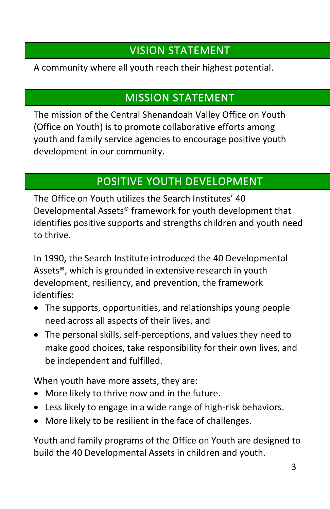# VISION STATEMENT

<span id="page-3-0"></span>A community where all youth reach their highest potential.

# MISSION STATEMENT

The mission of the Central Shenandoah Valley Office on Youth (Office on Youth) is to promote collaborative efforts among youth and family service agencies to encourage positive youth development in our community.

# POSITIVE YOUTH DEVELOPMENT

<span id="page-3-1"></span>The Office on Youth utilizes the Search Institutes' 40 Developmental Assets® framework for youth development that identifies positive supports and strengths children and youth need to thrive.

In 1990, the Search Institute introduced the 40 Developmental Assets®, which is grounded in extensive research in youth development, resiliency, and prevention, the framework identifies:

- The supports, opportunities, and relationships young people need across all aspects of their lives, and
- The personal skills, self-perceptions, and values they need to make good choices, take responsibility for their own lives, and be independent and fulfilled.

When youth have more assets, they are:

- More likely to thrive now and in the future.
- Less likely to engage in a wide range of high-risk behaviors.
- More likely to be resilient in the face of challenges.

Youth and family programs of the Office on Youth are designed to build the 40 Developmental Assets in children and youth.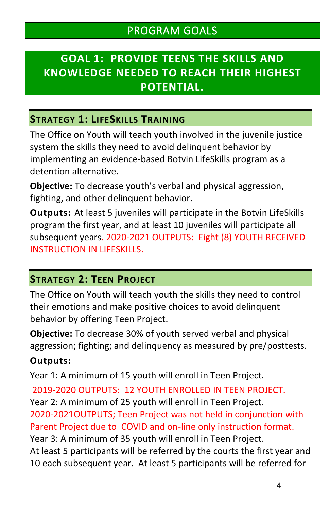## <span id="page-4-1"></span><span id="page-4-0"></span>**GOAL 1: PROVIDE TEENS THE SKILLS AND KNOWLEDGE NEEDED TO REACH THEIR HIGHEST POTENTIAL.**

#### **STRATEGY 1: LIFESKILLS TRAINING**

The Office on Youth will teach youth involved in the juvenile justice system the skills they need to avoid delinquent behavior by implementing an evidence-based Botvin LifeSkills program as a detention alternative.

**Objective:** To decrease youth's verbal and physical aggression, fighting, and other delinquent behavior.

**Outputs:** At least 5 juveniles will participate in the Botvin LifeSkills program the first year, and at least 10 juveniles will participate all subsequent years. 2020-2021 OUTPUTS: Eight (8) YOUTH RECEIVED INSTRUCTION IN LIFESKILLS.

#### **STRATEGY 2: TEEN PROJECT**

The Office on Youth will teach youth the skills they need to control their emotions and make positive choices to avoid delinquent behavior by offering Teen Project.

**Objective:** To decrease 30% of youth served verbal and physical aggression; fighting; and delinquency as measured by pre/posttests.

#### **Outputs:**

Year 1: A minimum of 15 youth will enroll in Teen Project.

2019-2020 OUTPUTS: 12 YOUTH ENROLLED IN TEEN PROJECT. Year 2: A minimum of 25 youth will enroll in Teen Project. 2020-2021OUTPUTS; Teen Project was not held in conjunction with Parent Project due to COVID and on-line only instruction format. Year 3: A minimum of 35 youth will enroll in Teen Project. At least 5 participants will be referred by the courts the first year and 10 each subsequent year. At least 5 participants will be referred for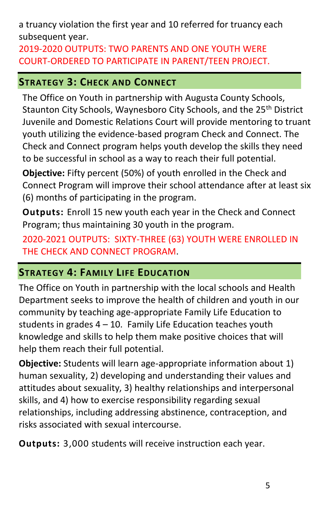a truancy violation the first year and 10 referred for truancy each subsequent year.

2019-2020 OUTPUTS: TWO PARENTS AND ONE YOUTH WERE COURT-ORDERED TO PARTICIPATE IN PARENT/TEEN PROJECT.

## **STRATEGY 3: CHECK AND CONNECT**

The Office on Youth in partnership with Augusta County Schools, Staunton City Schools, Waynesboro City Schools, and the 25<sup>th</sup> District Juvenile and Domestic Relations Court will provide mentoring to truant youth utilizing the evidence-based program Check and Connect. The Check and Connect program helps youth develop the skills they need to be successful in school as a way to reach their full potential.

**Objective:** Fifty percent (50%) of youth enrolled in the Check and Connect Program will improve their school attendance after at least six (6) months of participating in the program.

**Outputs:** Enroll 15 new youth each year in the Check and Connect Program; thus maintaining 30 youth in the program.

2020-2021 OUTPUTS: SIXTY-THREE (63) YOUTH WERE ENROLLED IN THE CHECK AND CONNECT PROGRAM.

## **STRATEGY 4: FAMILY LIFE EDUCATION**

The Office on Youth in partnership with the local schools and Health Department seeks to improve the health of children and youth in our community by teaching age-appropriate Family Life Education to students in grades  $4 - 10$ . Family Life Education teaches youth knowledge and skills to help them make positive choices that will help them reach their full potential.

**Objective:** Students will learn age-appropriate information about 1) human sexuality, 2) developing and understanding their values and attitudes about sexuality, 3) healthy relationships and interpersonal skills, and 4) how to exercise responsibility regarding sexual relationships, including addressing abstinence, contraception, and risks associated with sexual intercourse.

**Outputs:** 3,000 students will receive instruction each year.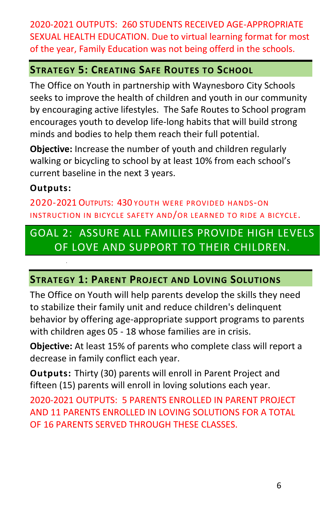2020-2021 OUTPUTS: 260 STUDENTS RECEIVED AGE-APPROPRIATE SEXUAL HEALTH EDUCATION. Due to virtual learning format for most of the year, Family Education was not being offerd in the schools.

#### **STRATEGY 5: CREATING SAFE ROUTES TO SCHOOL**

The Office on Youth in partnership with Waynesboro City Schools seeks to improve the health of children and youth in our community by encouraging active lifestyles. The Safe Routes to School program encourages youth to develop life-long habits that will build strong minds and bodies to help them reach their full potential.

**Objective:** Increase the number of youth and children regularly walking or bicycling to school by at least 10% from each school's current baseline in the next 3 years.

#### **Outputs:**

.

2020-2021 OUTPUTS: 430 YOUTH WERE PROVIDED HANDS-ON INSTRUCTION IN BICYCLE SAFETY AND/OR LEARNED TO RIDE A BICYCLE.

## <span id="page-6-0"></span>GOAL 2: ASSURE ALL FAMILIES PROVIDE HIGH LEVELS OF LOVE AND SUPPORT TO THEIR CHILDREN.

#### **STRATEGY 1: PARENT PROJECT AND LOVING SOLUTIONS**

The Office on Youth will help parents develop the skills they need to stabilize their family unit and reduce children's delinquent behavior by offering age-appropriate support programs to parents with children ages 05 - 18 whose families are in crisis.

**Objective:** At least 15% of parents who complete class will report a decrease in family conflict each year.

**Outputs:** Thirty (30) parents will enroll in Parent Project and fifteen (15) parents will enroll in loving solutions each year.

2020-2021 OUTPUTS: 5 PARENTS ENROLLED IN PARENT PROJECT AND 11 PARENTS ENROLLED IN LOVING SOLUTIONS FOR A TOTAL OF 16 PARENTS SERVED THROUGH THESE CLASSES.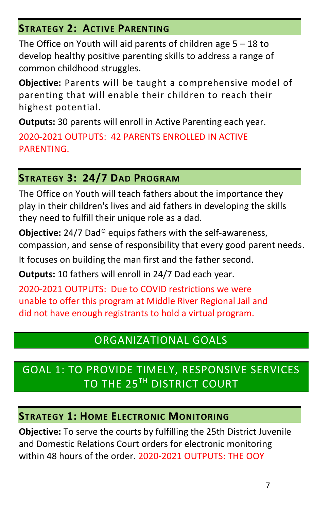## **STRATEGY 2: ACTIVE PARENTING**

The Office on Youth will aid parents of children age  $5 - 18$  to develop healthy positive parenting skills to address a range of common childhood struggles.

**Objective:** Parents will be taught a comprehensive model of parenting that will enable their children to reach their highest potential.

**Outputs:** 30 parents will enroll in Active Parenting each year. 2020-2021 OUTPUTS: 42 PARENTS ENROLLED IN ACTIVE PARENTING.

## **STRATEGY 3: 24/7 DAD PROGRAM**

The Office on Youth will teach fathers about the importance they play in their children's lives and aid fathers in developing the skills they need to fulfill their unique role as a dad.

**Objective:** 24/7 Dad® equips fathers with the self-awareness, compassion, and sense of responsibility that every good parent needs.

It focuses on building the man first and the father second.

**Outputs:** 10 fathers will enroll in 24/7 Dad each year.

2020-2021 OUTPUTS: Due to COVID restrictions we were unable to offer this program at Middle River Regional Jail and did not have enough registrants to hold a virtual program.

# ORGANIZATIONAL GOALS

# <span id="page-7-1"></span><span id="page-7-0"></span>GOAL 1: TO PROVIDE TIMELY, RESPONSIVE SERVICES TO THE 25TH DISTRICT COURT

### **STRATEGY 1: HOME ELECTRONIC MONITORING**

**Objective:** To serve the courts by fulfilling the 25th District Juvenile and Domestic Relations Court orders for electronic monitoring within 48 hours of the order. 2020-2021 OUTPUTS: THE OOY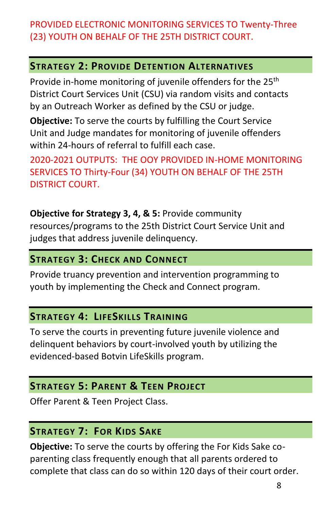## PROVIDED ELECTRONIC MONITORING SERVICES TO Twenty-Three (23) YOUTH ON BEHALF OF THE 25TH DISTRICT COURT.

#### **STRATEGY 2: PROVIDE DETENTION ALTERNATIVES**

Provide in-home monitoring of juvenile offenders for the 25<sup>th</sup> District Court Services Unit (CSU) via random visits and contacts by an Outreach Worker as defined by the CSU or judge.

**Objective:** To serve the courts by fulfilling the Court Service Unit and Judge mandates for monitoring of juvenile offenders within 24-hours of referral to fulfill each case.

2020-2021 OUTPUTS: THE OOY PROVIDED IN-HOME MONITORING SERVICES TO Thirty-Four (34) YOUTH ON BEHALF OF THE 25TH DISTRICT COURT.

**Objective for Strategy 3, 4, & 5:** Provide community resources/programs to the 25th District Court Service Unit and judges that address juvenile delinquency.

#### **STRATEGY 3: CHECK AND CONNECT**

Provide truancy prevention and intervention programming to youth by implementing the Check and Connect program.

### **STRATEGY 4: LIFESKILLS TRAINING**

To serve the courts in preventing future juvenile violence and delinquent behaviors by court-involved youth by utilizing the evidenced-based Botvin LifeSkills program.

## **STRATEGY 5: PARENT & TEEN PROJECT**

Offer Parent & Teen Project Class.

### **STRATEGY 7: FOR KIDS SAKE**

**Objective:** To serve the courts by offering the For Kids Sake coparenting class frequently enough that all parents ordered to complete that class can do so within 120 days of their court order.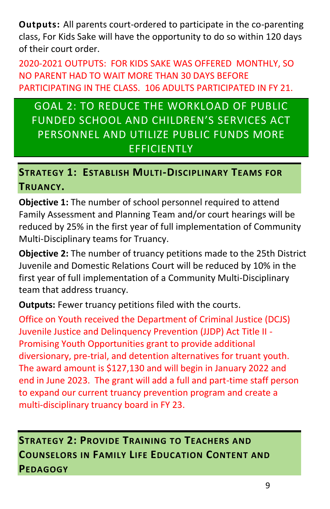**Outputs:** All parents court-ordered to participate in the co-parenting class, For Kids Sake will have the opportunity to do so within 120 days of their court order.

2020-2021 OUTPUTS: FOR KIDS SAKE WAS OFFERED MONTHLY, SO NO PARENT HAD TO WAIT MORE THAN 30 DAYS BEFORE PARTICIPATING IN THE CLASS. 106 ADULTS PARTICIPATED IN FY 21.

<span id="page-9-0"></span>GOAL 2: TO REDUCE THE WORKLOAD OF PUBLIC FUNDED SCHOOL AND CHILDREN'S SERVICES ACT PERSONNEL AND UTILIZE PUBLIC FUNDS MORE **EFFICIENTLY** 

## **STRATEGY 1: ESTABLISH MULTI-DISCIPLINARY TEAMS FOR TRUANCY.**

**Objective 1:** The number of school personnel required to attend Family Assessment and Planning Team and/or court hearings will be reduced by 25% in the first year of full implementation of Community Multi-Disciplinary teams for Truancy.

**Objective 2:** The number of truancy petitions made to the 25th District Juvenile and Domestic Relations Court will be reduced by 10% in the first year of full implementation of a Community Multi-Disciplinary team that address truancy.

**Outputs:** Fewer truancy petitions filed with the courts.

Office on Youth received the Department of Criminal Justice (DCJS) Juvenile Justice and Delinquency Prevention (JJDP) Act Title II - Promising Youth Opportunities grant to provide additional diversionary, pre-trial, and detention alternatives for truant youth. The award amount is \$127,130 and will begin in January 2022 and end in June 2023. The grant will add a full and part-time staff person to expand our current truancy prevention program and create a multi-disciplinary truancy board in FY 23.

**STRATEGY 2: PROVIDE TRAINING TO TEACHERS AND COUNSELORS IN FAMILY LIFE EDUCATION CONTENT AND PEDAGOGY**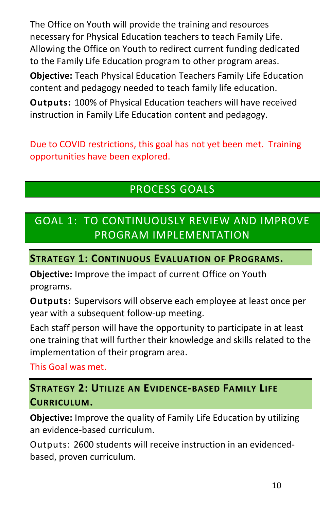The Office on Youth will provide the training and resources necessary for Physical Education teachers to teach Family Life. Allowing the Office on Youth to redirect current funding dedicated to the Family Life Education program to other program areas. **Objective:** Teach Physical Education Teachers Family Life Education content and pedagogy needed to teach family life education. **Outputs:** 100% of Physical Education teachers will have received instruction in Family Life Education content and pedagogy.

Due to COVID restrictions, this goal has not yet been met. Training opportunities have been explored.

## PROCESS GOALS

# <span id="page-10-1"></span><span id="page-10-0"></span>GOAL 1: TO CONTINUOUSLY REVIEW AND IMPROVE PROGRAM IMPLEMENTATION

#### **STRATEGY 1: CONTINUOUS EVALUATION OF PROGRAMS.**

**Objective:** Improve the impact of current Office on Youth programs.

**Outputs:** Supervisors will observe each employee at least once per year with a subsequent follow-up meeting.

Each staff person will have the opportunity to participate in at least one training that will further their knowledge and skills related to the implementation of their program area.

This Goal was met.

## **STRATEGY 2: UTILIZE AN EVIDENCE-BASED FAMILY LIFE CURRICULUM.**

**Objective:** Improve the quality of Family Life Education by utilizing an evidence-based curriculum.

Outputs: 2600 students will receive instruction in an evidencedbased, proven curriculum.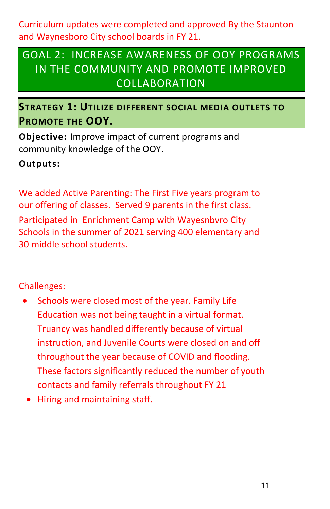Curriculum updates were completed and approved By the Staunton and Waynesboro City school boards in FY 21.

# <span id="page-11-0"></span>GOAL 2: INCREASE AWARENESS OF OOY PROGRAMS IN THE COMMUNITY AND PROMOTE IMPROVED COLLABORATION

**STRATEGY 1: UTILIZE DIFFERENT SOCIAL MEDIA OUTLETS TO PROMOTE THE OOY.**

**Objective:** Improve impact of current programs and community knowledge of the OOY.

**Outputs:** 

We added Active Parenting: The First Five years program to our offering of classes. Served 9 parents in the first class. Participated in Enrichment Camp with Wayesnbvro City Schools in the summer of 2021 serving 400 elementary and 30 middle school students.

Challenges:

- Schools were closed most of the year. Family Life Education was not being taught in a virtual format. Truancy was handled differently because of virtual instruction, and Juvenile Courts were closed on and off throughout the year because of COVID and flooding. These factors significantly reduced the number of youth contacts and family referrals throughout FY 21
- Hiring and maintaining staff.